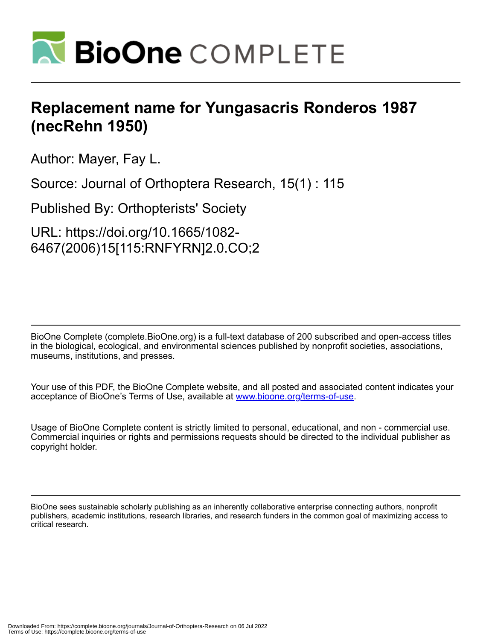

## **Replacement name for Yungasacris Ronderos 1987 (necRehn 1950)**

Author: Mayer, Fay L.

Source: Journal of Orthoptera Research, 15(1) : 115

Published By: Orthopterists' Society

URL: https://doi.org/10.1665/1082- 6467(2006)15[115:RNFYRN]2.0.CO;2

BioOne Complete (complete.BioOne.org) is a full-text database of 200 subscribed and open-access titles in the biological, ecological, and environmental sciences published by nonprofit societies, associations, museums, institutions, and presses.

Your use of this PDF, the BioOne Complete website, and all posted and associated content indicates your acceptance of BioOne's Terms of Use, available at www.bioone.org/terms-of-use.

Usage of BioOne Complete content is strictly limited to personal, educational, and non - commercial use. Commercial inquiries or rights and permissions requests should be directed to the individual publisher as copyright holder.

BioOne sees sustainable scholarly publishing as an inherently collaborative enterprise connecting authors, nonprofit publishers, academic institutions, research libraries, and research funders in the common goal of maximizing access to critical research.